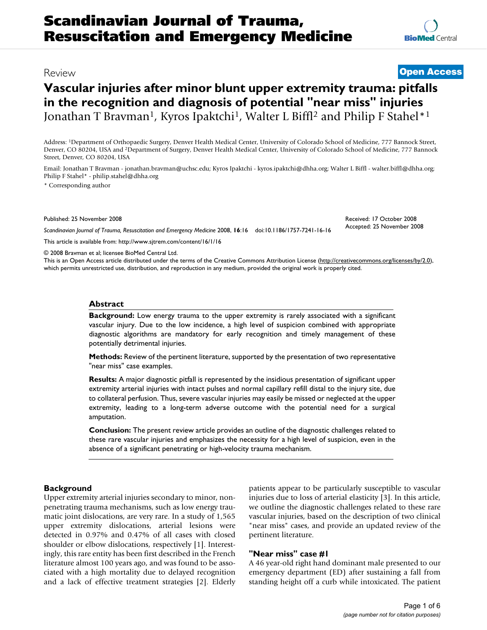# **[BioMed](http://www.biomedcentral.com/)** Central

# **Vascular injuries after minor blunt upper extremity trauma: pitfalls in the recognition and diagnosis of potential "near miss" injuries** Jonathan T Bravman<sup>1</sup>, Kyros Ipaktchi<sup>1</sup>, Walter L Biffl<sup>2</sup> and Philip F Stahel<sup>\*1</sup>

Address: 1Department of Orthopaedic Surgery, Denver Health Medical Center, University of Colorado School of Medicine, 777 Bannock Street, Denver, CO 80204, USA and 2Department of Surgery, Denver Health Medical Center, University of Colorado School of Medicine, 777 Bannock Street, Denver, CO 80204, USA

Email: Jonathan T Bravman - jonathan.bravman@uchsc.edu; Kyros Ipaktchi - kyros.ipaktchi@dhha.org; Walter L Biffl - walter.biffl@dhha.org; Philip F Stahel\* - philip.stahel@dhha.org

\* Corresponding author

Published: 25 November 2008

Received: 17 October 2008 Accepted: 25 November 2008

*Scandinavian Journal of Trauma, Resuscitation and Emergency Medicine* 2008, **16**:16 doi:10.1186/1757-7241-16-16 [This article is available from: http://www.sjtrem.com/content/16/1/16](http://www.sjtrem.com/content/16/1/16)

© 2008 Bravman et al; licensee BioMed Central Ltd.

This is an Open Access article distributed under the terms of the Creative Commons Attribution License [\(http://creativecommons.org/licenses/by/2.0\)](http://creativecommons.org/licenses/by/2.0), which permits unrestricted use, distribution, and reproduction in any medium, provided the original work is properly cited.

#### **Abstract**

**Background:** Low energy trauma to the upper extremity is rarely associated with a significant vascular injury. Due to the low incidence, a high level of suspicion combined with appropriate diagnostic algorithms are mandatory for early recognition and timely management of these potentially detrimental injuries.

**Methods:** Review of the pertinent literature, supported by the presentation of two representative "near miss" case examples.

**Results:** A major diagnostic pitfall is represented by the insidious presentation of significant upper extremity arterial injuries with intact pulses and normal capillary refill distal to the injury site, due to collateral perfusion. Thus, severe vascular injuries may easily be missed or neglected at the upper extremity, leading to a long-term adverse outcome with the potential need for a surgical amputation.

**Conclusion:** The present review article provides an outline of the diagnostic challenges related to these rare vascular injuries and emphasizes the necessity for a high level of suspicion, even in the absence of a significant penetrating or high-velocity trauma mechanism.

### **Background**

Upper extremity arterial injuries secondary to minor, nonpenetrating trauma mechanisms, such as low energy traumatic joint dislocations, are very rare. In a study of 1,565 upper extremity dislocations, arterial lesions were detected in 0.97% and 0.47% of all cases with closed shoulder or elbow dislocations, respectively [1]. Interestingly, this rare entity has been first described in the French literature almost 100 years ago, and was found to be associated with a high mortality due to delayed recognition and a lack of effective treatment strategies [2]. Elderly patients appear to be particularly susceptible to vascular injuries due to loss of arterial elasticity [3]. In this article, we outline the diagnostic challenges related to these rare vascular injuries, based on the description of two clinical "near miss" cases, and provide an updated review of the pertinent literature.

# **"Near miss" case #1**

A 46 year-old right hand dominant male presented to our emergency department (ED) after sustaining a fall from standing height off a curb while intoxicated. The patient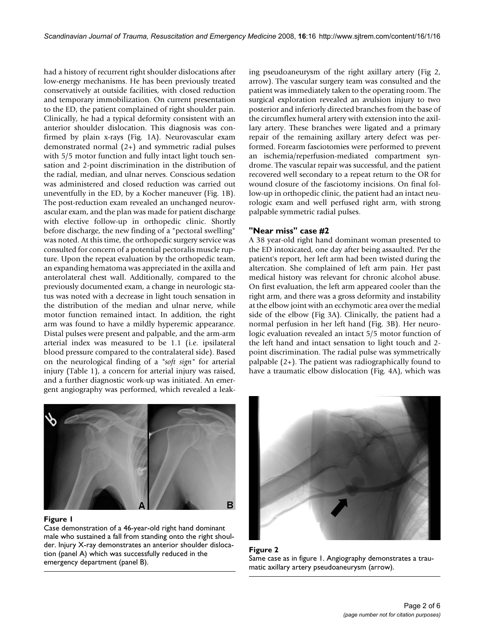had a history of recurrent right shoulder dislocations after low-energy mechanisms. He has been previously treated conservatively at outside facilities, with closed reduction and temporary immobilization. On current presentation to the ED, the patient complained of right shoulder pain. Clinically, he had a typical deformity consistent with an anterior shoulder dislocation. This diagnosis was confirmed by plain x-rays (Fig. 1A). Neurovascular exam demonstrated normal (2+) and symmetric radial pulses with  $5/5$  motor function and fully intact light touch sensation and 2-point discrimination in the distribution of the radial, median, and ulnar nerves. Conscious sedation was administered and closed reduction was carried out uneventfully in the ED, by a Kocher maneuver (Fig. 1B). The post-reduction exam revealed an unchanged neurovascular exam, and the plan was made for patient discharge with elective follow-up in orthopedic clinic. Shortly before discharge, the new finding of a "pectoral swelling" was noted. At this time, the orthopedic surgery service was consulted for concern of a potential pectoralis muscle rupture. Upon the repeat evaluation by the orthopedic team, an expanding hematoma was appreciated in the axilla and anterolateral chest wall. Additionally, compared to the previously documented exam, a change in neurologic status was noted with a decrease in light touch sensation in the distribution of the median and ulnar nerve, while motor function remained intact. In addition, the right arm was found to have a mildly hyperemic appearance. Distal pulses were present and palpable, and the arm-arm arterial index was measured to be 1.1 (i.e. ipsilateral blood pressure compared to the contralateral side). Based on the neurological finding of a *"soft sign"* for arterial injury (Table 1), a concern for arterial injury was raised, and a further diagnostic work-up was initiated. An emergent angiography was performed, which revealed a leaking pseudoaneurysm of the right axillary artery (Fig 2, arrow). The vascular surgery team was consulted and the patient was immediately taken to the operating room. The surgical exploration revealed an avulsion injury to two posterior and inferiorly directed branches from the base of the circumflex humeral artery with extension into the axillary artery. These branches were ligated and a primary repair of the remaining axillary artery defect was performed. Forearm fasciotomies were performed to prevent an ischemia/reperfusion-mediated compartment syndrome. The vascular repair was successful, and the patient recovered well secondary to a repeat return to the OR for wound closure of the fasciotomy incisions. On final follow-up in orthopedic clinic, the patient had an intact neurologic exam and well perfused right arm, with strong palpable symmetric radial pulses.

# **"Near miss" case #2**

A 38 year-old right hand dominant woman presented to the ED intoxicated, one day after being assaulted. Per the patient's report, her left arm had been twisted during the altercation. She complained of left arm pain. Her past medical history was relevant for chronic alcohol abuse. On first evaluation, the left arm appeared cooler than the right arm, and there was a gross deformity and instability at the elbow joint with an ecchymotic area over the medial side of the elbow (Fig 3A). Clinically, the patient had a normal perfusion in her left hand (Fig. 3B). Her neurologic evaluation revealed an intact 5/5 motor function of the left hand and intact sensation to light touch and 2 point discrimination. The radial pulse was symmetrically palpable (2+). The patient was radiographically found to have a traumatic elbow dislocation (Fig. 4A), which was



# Figure 1

Case demonstration of a 46-year-old right hand dominant male who sustained a fall from standing onto the right shoulder. Injury X-ray demonstrates an anterior shoulder dislocation (panel A) which was successfully reduced in the emergency department (panel B).



**Figure 2** Same case as in figure 1. Angiography demonstrates a traumatic axillary artery pseudoaneurysm (arrow).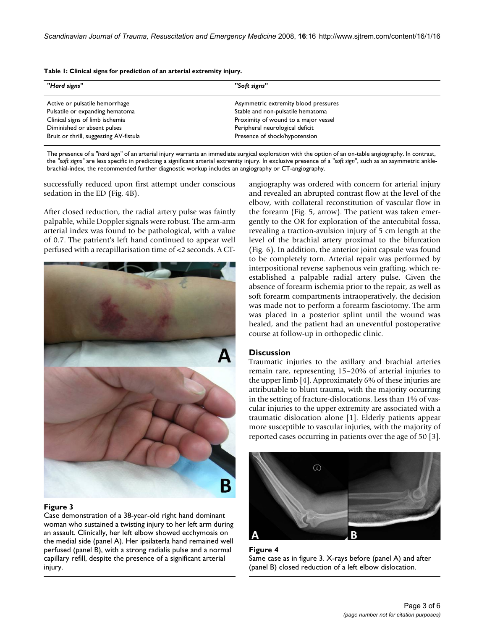**Table 1: Clinical signs for prediction of an arterial extremity injury.**

| "Hard signs"                           | "Soft signs"                         |  |
|----------------------------------------|--------------------------------------|--|
| Active or pulsatile hemorrhage         | Asymmetric extremity blood pressures |  |
| Pulsatile or expanding hematoma        | Stable and non-pulsatile hematoma    |  |
| Clinical signs of limb ischemia        | Proximity of wound to a major vessel |  |
| Diminished or absent pulses            | Peripheral neurological deficit      |  |
| Bruit or thrill, suggesting AV-fistula | Presence of shock/hypotension        |  |

The presence of a *"hard sign"* of an arterial injury warrants an immediate surgical exploration with the option of an on-table angiography. In contrast, the *"soft signs"* are less specific in predicting a significant arterial extremity injury. In exclusive presence of a *"soft sign"*, such as an asymmetric anklebrachial-index, the recommended further diagnostic workup includes an angiography or CT-angiography.

successfully reduced upon first attempt under conscious sedation in the ED (Fig. 4B).

After closed reduction, the radial artery pulse was faintly palpable, while Doppler signals were robust. The arm-arm arterial index was found to be pathological, with a value of 0.7. The patrient's left hand continued to appear well perfused with a recapillarisation time of <2 seconds. A CT-



# Figure 3

Case demonstration of a 38-year-old right hand dominant woman who sustained a twisting injury to her left arm during an assault. Clinically, her left elbow showed ecchymosis on the medial side (panel A). Her ipsilaterla hand remained well perfused (panel B), with a strong radialis pulse and a normal capillary refill, despite the presence of a significant arterial injury.

angiography was ordered with concern for arterial injury and revealed an abrupted contrast flow at the level of the elbow, with collateral reconstitution of vascular flow in the forearm (Fig. 5, arrow). The patient was taken emergently to the OR for exploration of the antecubital fossa, revealing a traction-avulsion injury of 5 cm length at the level of the brachial artery proximal to the bifurcation (Fig. 6). In addition, the anterior joint capsule was found to be completely torn. Arterial repair was performed by interpositional reverse saphenous vein grafting, which reestablished a palpable radial artery pulse. Given the absence of forearm ischemia prior to the repair, as well as soft forearm compartments intraoperatively, the decision was made not to perform a forearm fasciotomy. The arm was placed in a posterior splint until the wound was healed, and the patient had an uneventful postoperative course at follow-up in orthopedic clinic.

# **Discussion**

Traumatic injuries to the axillary and brachial arteries remain rare, representing 15–20% of arterial injuries to the upper limb [4]. Approximately 6% of these injuries are attributable to blunt trauma, with the majority occurring in the setting of fracture-dislocations. Less than 1% of vascular injuries to the upper extremity are associated with a traumatic dislocation alone [1]. Elderly patients appear more susceptible to vascular injuries, with the majority of reported cases occurring in patients over the age of 50 [3].



# **Figure 4** Same case as in figure 3. X-rays before (panel A) and after (panel B) closed reduction of a left elbow dislocation.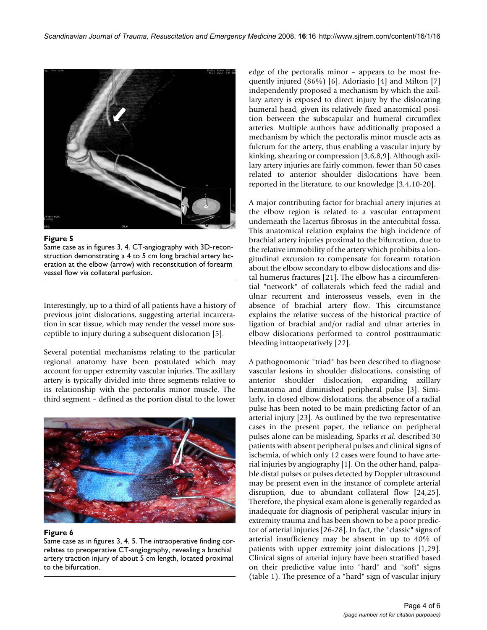

**Figure 5** 

Same case as in figures 3, 4. CT-angiography with 3D-reconstruction demonstrating a 4 to 5 cm long brachial artery laceration at the elbow (arrow) with reconstitution of forearm vessel flow via collateral perfusion.

Interestingly, up to a third of all patients have a history of previous joint dislocations, suggesting arterial incarceration in scar tissue, which may render the vessel more susceptible to injury during a subsequent dislocation [5].

Several potential mechanisms relating to the particular regional anatomy have been postulated which may account for upper extremity vascular injuries. The axillary artery is typically divided into three segments relative to its relationship with the pectoralis minor muscle. The third segment – defined as the portion distal to the lower



# **Figure 6**

Same case as in figures 3, 4, 5. The intraoperative finding correlates to preoperative CT-angiography, revealing a brachial artery traction injury of about 5 cm length, located proximal to the bifurcation.

edge of the pectoralis minor – appears to be most frequently injured (86%) [6]. Adoriasio [4] and Milton [7] independently proposed a mechanism by which the axillary artery is exposed to direct injury by the dislocating humeral head, given its relatively fixed anatomical position between the subscapular and humeral circumflex arteries. Multiple authors have additionally proposed a mechanism by which the pectoralis minor muscle acts as fulcrum for the artery, thus enabling a vascular injury by kinking, shearing or compression [3,6,8,9]. Although axillary artery injuries are fairly common, fewer than 50 cases related to anterior shoulder dislocations have been reported in the literature, to our knowledge [3,4,10-20].

A major contributing factor for brachial artery injuries at the elbow region is related to a vascular entrapment underneath the lacertus fibrosus in the antecubital fossa. This anatomical relation explains the high incidence of brachial artery injuries proximal to the bifurcation, due to the relative immobility of the artery which prohibits a longitudinal excursion to compensate for forearm rotation about the elbow secondary to elbow dislocations and distal humerus fractures [21]. The elbow has a circumferential "network" of collaterals which feed the radial and ulnar recurrent and interosseus vessels, even in the absence of brachial artery flow. This circumstance explains the relative success of the historical practice of ligation of brachial and/or radial and ulnar arteries in elbow dislocations performed to control posttraumatic bleeding intraoperatively [22].

A pathognomonic "triad" has been described to diagnose vascular lesions in shoulder dislocations, consisting of anterior shoulder dislocation, expanding axillary hematoma and diminished peripheral pulse [3]. Similarly, in closed elbow dislocations, the absence of a radial pulse has been noted to be main predicting factor of an arterial injury [23]. As outlined by the two representative cases in the present paper, the reliance on peripheral pulses alone can be misleading. Sparks *et al.* described 30 patients with absent peripheral pulses and clinical signs of ischemia, of which only 12 cases were found to have arterial injuries by angiography [1]. On the other hand, palpable distal pulses or pulses detected by Doppler ultrasound may be present even in the instance of complete arterial disruption, due to abundant collateral flow [24,25]. Therefore, the physical exam alone is generally regarded as inadequate for diagnosis of peripheral vascular injury in extremity trauma and has been shown to be a poor predictor of arterial injuries [26-28]. In fact, the "classic" signs of arterial insufficiency may be absent in up to 40% of patients with upper extremity joint dislocations [1,29]. Clinical signs of arterial injury have been stratified based on their predictive value into "hard" and "soft" signs (table 1). The presence of a "hard" sign of vascular injury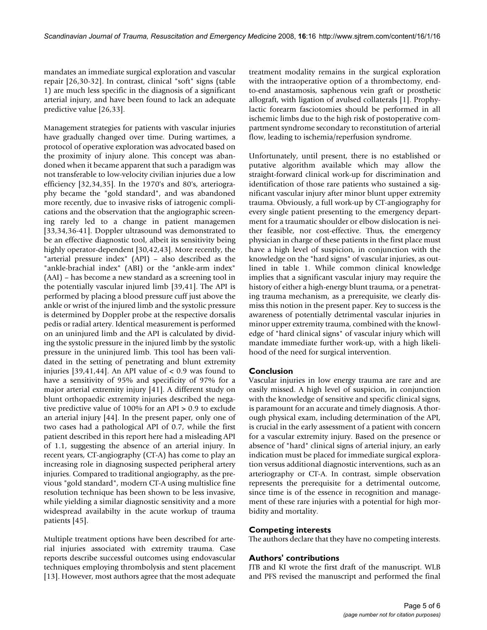mandates an immediate surgical exploration and vascular repair [26,30-32]. In contrast, clinical "soft" signs (table 1) are much less specific in the diagnosis of a significant arterial injury, and have been found to lack an adequate predictive value [26,33].

Management strategies for patients with vascular injuries have gradually changed over time. During wartimes, a protocol of operative exploration was advocated based on the proximity of injury alone. This concept was abandoned when it became apparent that such a paradigm was not transferable to low-velocity civilian injuries due a low efficiency [32,34,35]. In the 1970's and 80's, arteriography became the "gold standard", and was abandoned more recently, due to invasive risks of iatrogenic complications and the observation that the angiographic screening rarely led to a change in patient managemen [33,34,36-41]. Doppler ultrasound was demonstrated to be an effective diagnostic tool, albeit its sensitivity being highly operator-dependent [30,42,43]. More recently, the "arterial pressure index" (API) – also described as the "ankle-brachial index" (ABI) or the "ankle-arm index" (AAI) – has become a new standard as a screening tool in the potentially vascular injured limb [39,41]. The API is performed by placing a blood pressure cuff just above the ankle or wrist of the injured limb and the systolic pressure is determined by Doppler probe at the respective dorsalis pedis or radial artery. Identical measurement is performed on an uninjured limb and the API is calculated by dividing the systolic pressure in the injured limb by the systolic pressure in the uninjured limb. This tool has been validated in the setting of penetrating and blunt extremity injuries [39,41,44]. An API value of  $< 0.9$  was found to have a sensitivity of 95% and specificity of 97% for a major arterial extremity injury [41]. A different study on blunt orthopaedic extremity injuries described the negative predictive value of 100% for an API > 0.9 to exclude an arterial injury [44]. In the present paper, only one of two cases had a pathological API of 0.7, while the first patient described in this report here had a misleading API of 1.1, suggesting the absence of an arterial injury. In recent years, CT-angiography (CT-A) has come to play an increasing role in diagnosing suspected peripheral artery injuries. Compared to traditional angiography, as the previous "gold standard", modern CT-A using multislice fine resolution technique has been shown to be less invasive, while yielding a similar diagnostic sensitivity and a more widespread availabilty in the acute workup of trauma patients [45].

Multiple treatment options have been described for arterial injuries associated with extremity trauma. Case reports describe successful outcomes using endovascular techniques employing thrombolysis and stent placement [13]. However, most authors agree that the most adequate treatment modality remains in the surgical exploration with the intraoperative option of a thrombectomy, endto-end anastamosis, saphenous vein graft or prosthetic allograft, with ligation of avulsed collaterals [1]. Prophylactic forearm fasciotomies should be performed in all ischemic limbs due to the high risk of postoperative compartment syndrome secondary to reconstitution of arterial flow, leading to ischemia/reperfusion syndrome.

Unfortunately, until present, there is no established or putative algorithm available which may allow the straight-forward clinical work-up for discrimination and identification of those rare patients who sustained a significant vascular injury after minor blunt upper extremity trauma. Obviously, a full work-up by CT-angiography for every single patient presenting to the emergency department for a traumatic shoulder or elbow dislocation is neither feasible, nor cost-effective. Thus, the emergency physician in charge of these patients in the first place must have a high level of suspicion, in conjunction with the knowledge on the "hard signs" of vascular injuries, as outlined in table 1. While common clinical knowledge implies that a significant vascular injury may require the history of either a high-energy blunt trauma, or a penetrating trauma mechanism, as a prerequisite, we clearly dismiss this notion in the present paper. Key to success is the awareness of potentially detrimental vascular injuries in minor upper extremity trauma, combined with the knowledge of "hard clinical signs" of vascular injury which will mandate immediate further work-up, with a high likelihood of the need for surgical intervention.

# **Conclusion**

Vascular injuries in low energy trauma are rare and are easily missed. A high level of suspicion, in conjunction with the knowledge of sensitive and specific clinical signs, is paramount for an accurate and timely diagnosis. A thorough physical exam, including determination of the API, is crucial in the early assessment of a patient with concern for a vascular extremity injury. Based on the presence or absence of "hard" clinical signs of arterial injury, an early indication must be placed for immediate surgical exploration versus additional diagnostic interventions, such as an arteriography or CT-A. In contrast, simple observation represents the prerequisite for a detrimental outcome, since time is of the essence in recognition and management of these rare injuries with a potential for high morbidity and mortality.

# **Competing interests**

The authors declare that they have no competing interests.

# **Authors' contributions**

JTB and KI wrote the first draft of the manuscript. WLB and PFS revised the manuscript and performed the final